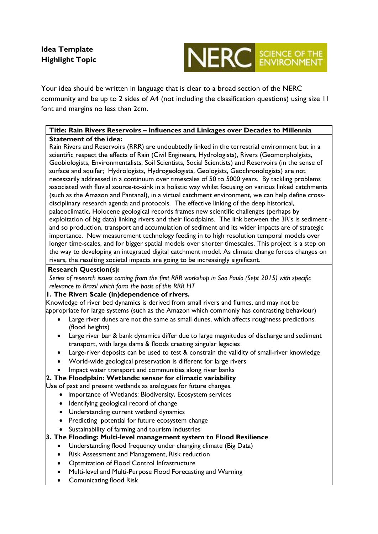

Your idea should be written in language that is clear to a broad section of the NERC community and be up to 2 sides of A4 (not including the classification questions) using size 11 font and margins no less than 2cm.

# **Title: Rain Rivers Reservoirs – Influences and Linkages over Decades to Millennia Statement of the idea:**

Rain Rivers and Reservoirs (RRR) are undoubtedly linked in the terrestrial environment but in a scientific respect the effects of Rain (Civil Engineers, Hydrologists), Rivers (Geomorpholgists, Geobiologists, Environmentalists, Soil Scientists, Social Scientists) and Reservoirs (in the sense of surface and aquifer; Hydrologists, Hydrogeologists, Geologists, Geochronologists) are not necessarily addressed in a continuum over timescales of 50 to 5000 years. By tackling problems associated with fluvial source-to-sink in a holistic way whilst focusing on various linked catchments (such as the Amazon and Pantanal), in a virtual catchment environment, we can help define crossdisciplinary research agenda and protocols. The effective linking of the deep historical, palaeoclimatic, Holocene geological records frames new scientific challenges (perhaps by exploitation of big data) linking rivers and their floodplains. The link between the 3R's is sediment and so production, transport and accumulation of sediment and its wider impacts are of strategic importance. New measurement technology feeding in to high resolution temporal models over longer time-scales, and for bigger spatial models over shorter timescales. This project is a step on the way to developing an integrated digital catchment model. As climate change forces changes on rivers, the resulting societal impacts are going to be increasingly significant.

## **Research Question(s):**

*Series of research issues coming from the first RRR workshop in Sao Paulo (Sept 2015) with specific relevance to Brazil which form the basis of this RRR HT*

# **1. The River: Scale (in)dependence of rivers.**

Knowledge of river bed dynamics is derived from small rivers and flumes, and may not be appropriate for large systems (such as the Amazon which commonly has contrasting behaviour)

- Large river dunes are not the same as small dunes, which affects roughness predictions (flood heights)
- Large river bar & bank dynamics differ due to large magnitudes of discharge and sediment transport, with large dams & floods creating singular legacies
- Large-river deposits can be used to test & constrain the validity of small-river knowledge
- World-wide geological preservation is different for large rivers
- Impact water transport and communities along river banks

**2. The Floodplain: Wetlands: sensor for climatic variability**

Use of past and present wetlands as analogues for future changes.

- Importance of Wetlands: Biodiversity, Ecosystem services
- Identifying geological record of change
- Understanding current wetland dynamics
- Predicting potential for future ecosystem change
- Sustainability of farming and tourism industries
- **3. The Flooding: Multi-level management system to Flood Resilience**
	- Understanding flood frequency under changing climate (Big Data)
	- Risk Assessment and Management, Risk reduction
	- Optmization of Flood Control Infrastructure
	- Multi-level and Multi-Purpose Flood Forecasting and Warning
	- Comunicating flood Risk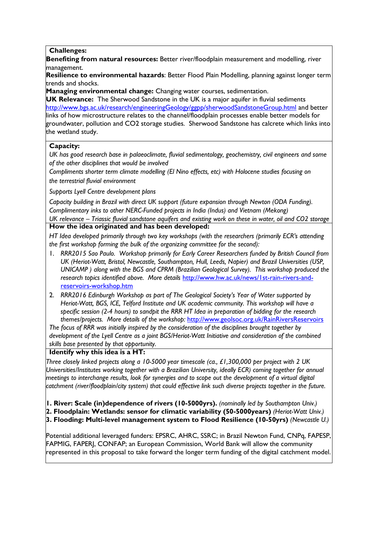#### **Challenges:**

**Benefiting from natural resources:** Better river/floodplain measurement and modelling, river management.

**Resilience to environmental hazards**: Better Flood Plain Modelling, planning against longer term trends and shocks.

**Managing environmental change:** Changing water courses, sedimentation.

**UK Relevance:** The Sherwood Sandstone in the UK is a major aquifer in fluvial sediments <http://www.bgs.ac.uk/research/engineeringGeology/ggpp/sherwoodSandstoneGroup.html> and better links of how microstructure relates to the channel/floodplain processes enable better models for groundwater, pollution and CO2 storage studies. Sherwood Sandstone has calcrete which links into the wetland study.

### **Capacity:**

*UK has good research base in palaeoclimate, fluvial sedimentology, geochemistry, civil engineers and some of the other disciplines that would be involved*

*Compliments shorter term climate modelling (El Nino effects, etc) with Holocene studies focusing on the terrestrial fluvial environment*

*Supports Lyell Centre development plans*

*Capacity building in Brazil with direct UK support (future expansion through Newton (ODA Funding). Complimentary inks to other NERC-Funded projects in India (Indus) and Vietnam (Mekong)*

*UK relevance – Triassic fluvial sandstone aquifers and existing work on these in water, oil and CO2 storage* **How the idea originated and has been developed:**

*HT Idea developed primarily through two key workshops (with the researchers (primarily ECR's attending the first workshop forming the bulk of the organizing committee for the second):*

- 1. *RRR2015 Sao Paulo. Workshop primarily for Early Career Researchers funded by British Council from UK (Heriot-Watt, Bristol, Newcastle, Southampton, Hull, Leeds, Napier) and Brazil Universities (USP, UNICAMP ) along with the BGS and CPRM (Brazilian Geological Survey). This workshop produced the research topics identified above. More details* [http://www.hw.ac.uk/news/1st-rain-rivers-and](http://www.hw.ac.uk/news/1st-rain-rivers-and-reservoirs-workshop.htm)[reservoirs-workshop.htm](http://www.hw.ac.uk/news/1st-rain-rivers-and-reservoirs-workshop.htm)
- 2. *RRR2016 Edinburgh Workshop as part of The Geological Society's Year of Water supported by Heriot-Watt, BGS, ICE, Telford Institute and UK academic community. This workshop will have a specific session (2-4 hours) to sandpit the RRR HT Idea in preparation of bidding for the research themes/projects. More details of the workshop:* <http://www.geolsoc.org.uk/RainRiversReservoirs>

*The focus of RRR was initially inspired by the consideration of the disciplines brought together by development of the Lyell Centre as a joint BGS/Heriot-Watt Initiative and consideration of the combined skills base presented by that opportunity.*

### **Identify why this idea is a HT:**

*Three closely linked projects along a 10-5000 year timescale (ca., £1,300,000 per project with 2 UK Universities/Institutes working together with a Brazilian University, ideally ECR) coming together for annual meetings to interchange results, look for synergies and to scope out the development of a virtual digital catchment (river/floodplain/city system) that could effective link such diverse projects together in the future.*

**1. River: Scale (in)dependence of rivers (10-5000yrs).** *(nominally led by Southampton Univ.)*

**2. Floodplain: Wetlands: sensor for climatic variability (50-5000years)** *(Heriot-Watt Univ.)*

**3. Flooding: Multi-level management system to Flood Resilience (10-50yrs)** *(Newcastle U.)*

Potential additional leveraged funders: EPSRC, AHRC, SSRC; in Brazil Newton Fund, CNPq, FAPESP, FAPMIG, FAPERJ, CONFAP; an European Commission, World Bank will allow the community represented in this proposal to take forward the longer term funding of the digital catchment model.